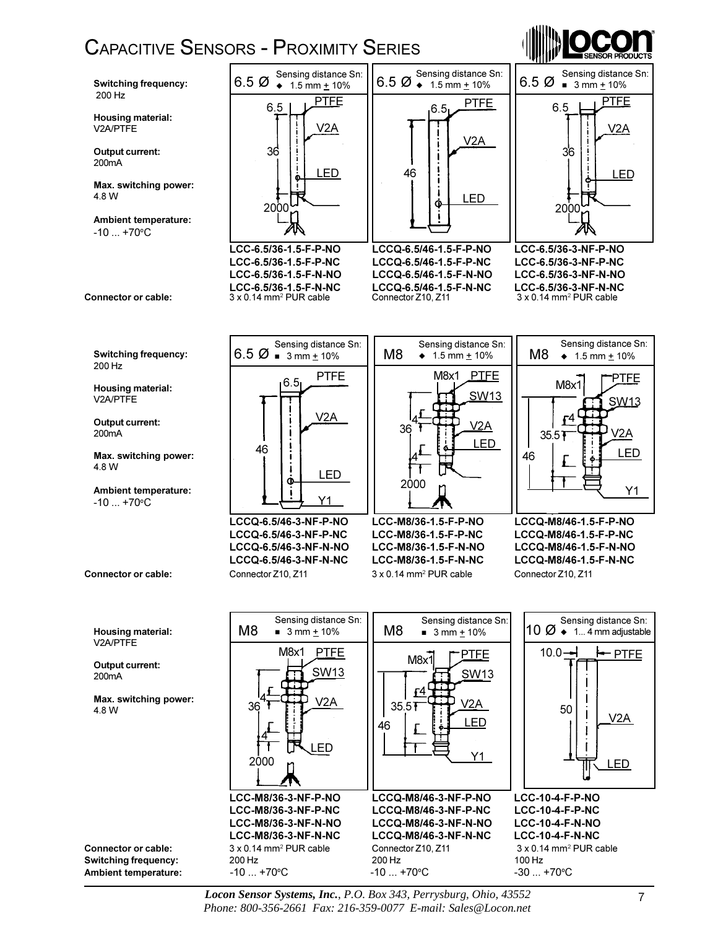## CAPACITIVE SENSORS - PROXIMITY SERIES





Sensing distance Sn:  $6.5 \, \emptyset$  = 3 mm + 10% PTFE 6.5 V2A ł LED Ò Y1

Connector or cable: Connector Z10, Z11 3 x 0.14 mm<sup>2</sup> PUR cable LCCQ-6.5/46-3-NF-P-NO LCC-M8/36-1.5-F-P-NO LCCQ-M8/46-1.5-F-P-NO LCCQ-6.5/46-3-NF-P-NC LCC-M8/36-1.5-F-P-NC LCCQ-M8/46-1.5-F-P-NC



Sensing distance Sn:



Connector Z10, Z11 LCCQ-6.5/46-3-NF-N-NO LCC-M8/36-1.5-F-N-NO LCCQ-M8/46-1.5-F-N-NO LCCQ-6.5/46-3-NF-N-NC LCC-M8/36-1.5-F-N-NC LCCQ-M8/46-1.5-F-N-NC



*Locon Sensor Systems, Inc.*, *P.O. Box 343, Perrysburg, Ohio, 43552 Phone: 800-356-2661 Fax: 216-359-0077 E-mail: Sales@Locon.net*

 $-10...+70$ °C

Switching frequency:

Max. switching power:

Ambient temperature:

Housing material: V2A/PTFE

Output current: 200mA

200 Hz

4.8 W

Housing material: V2A/PTFE

Output current: 200mA

Max. switching power: 4.8 W